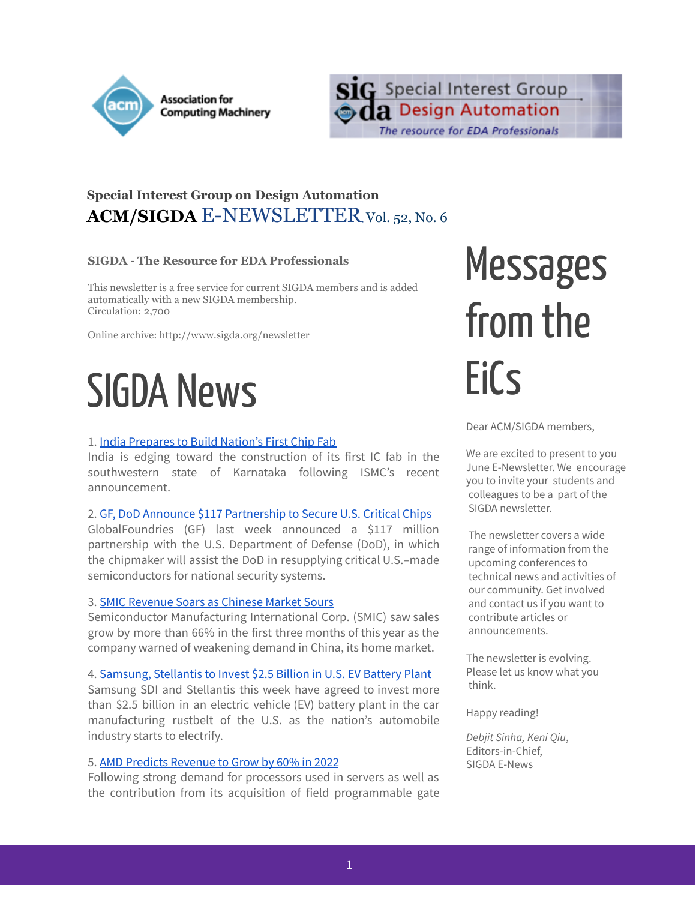



### **Special Interest Group on Design Automation ACM/SIGDA** E-NEWSLETTER,Vol. 52, No. 6

### **SIGDA - The Resource for EDA Professionals**

This newsletter is a free service for current SIGDA members and is added automatically with a new SIGDA membership. Circulation: 2,700

Online archive: http://www.sigda.org/newsletter

## SIGDA News

### 1. India [Prepares](https://www.eetimes.com/india-prepares-to-build-nations-first-chip-fab/) to Build Nation's First Chip Fab

India is edging toward the construction of its first IC fab in the southwestern state of Karnataka following ISMC's recent announcement.

#### 2. GF, DoD Announce \$117 [Partnership](https://www.eetimes.com/gf-dod-announce-117-partnership-to-secure-u-s-made-critical-chips/) to Secure U.S. Critical Chips

GlobalFoundries (GF) last week announced a \$117 million partnership with the U.S. Department of Defense (DoD), in which the chipmaker will assist the DoD in resupplying critical U.S.–made semiconductors for national security systems.

#### 3. SMIC [Revenue](https://www.eetimes.com/smic-revenue-soars-as-chinese-market-sours/) Soars as Chinese Market Sours

Semiconductor Manufacturing International Corp. (SMIC) saw sales grow by more than 66% in the first three months of this year as the company warned of weakening demand in China, its home market.

#### 4. [Samsung,](https://www.eetimes.com/samsung-stellantis-to-invest-2-5-billion-in-u-s-ev-battery-plant/) Stellantis to Invest \$2.5 Billion in U.S. EV Battery Plant

Samsung SDI and Stellantis this week have agreed to invest more than \$2.5 billion in an electric vehicle (EV) battery plant in the car manufacturing rustbelt of the U.S. as the nation's automobile industry starts to electrify.

#### 5. AMD Predicts [Revenue](https://www.eetimes.com/amd-predicts-revenue-to-grow-by-60-in-2022/) to Grow by 60% in 2022

Following strong demand for processors used in servers as well as the contribution from its acquisition of field programmable gate

# **Messages** from the EiCs

Dear ACM/SIGDA members,

We are excited to present to you June E-Newsletter. We encourage you to invite your students and colleagues to be a part of the SIGDA newsletter.

The newsletter covers a wide range of information from the upcoming conferences to technical news and activities of our community. Get involved and contact us if you want to contribute articles or announcements.

The newsletter is evolving. Please let us know what you think.

Happy reading!

*Debjit Sinha, Keni Qiu*, Editors-in-Chief, SIGDA E-News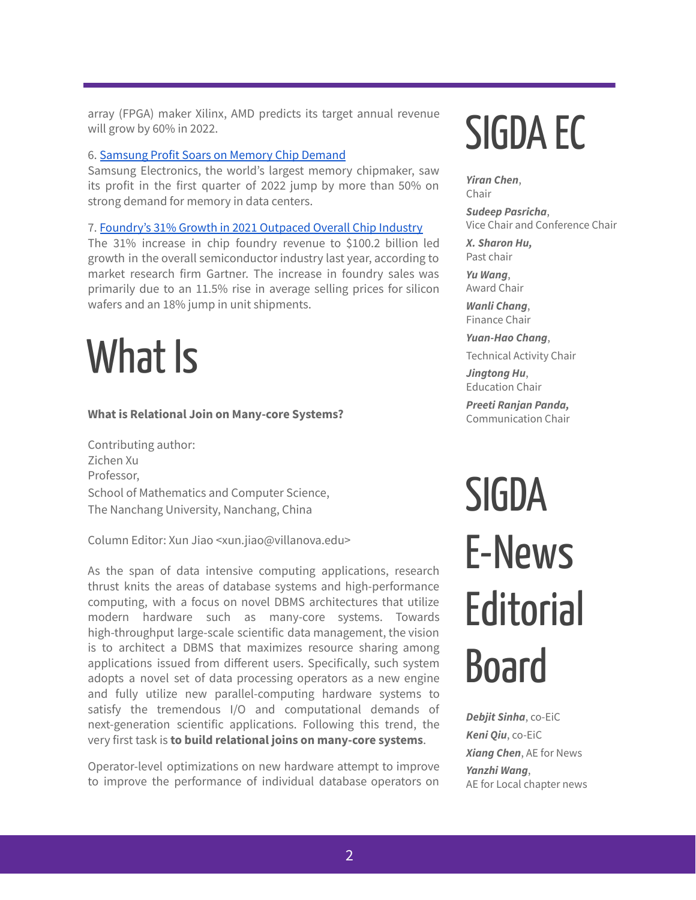array (FPGA) maker Xilinx, AMD predicts its target annual revenue will grow by 60% in 2022.

#### 6. [Samsung](https://www.eetimes.com/samsung-profit-soars-on-memory-chip-demand/) Profit Soars on Memory Chip Demand

Samsung Electronics, the world's largest memory chipmaker, saw its profit in the first quarter of 2022 jump by more than 50% on strong demand for memory in data centers.

#### 7. [Foundry's](https://www.eetimes.com/foundrys-31-growth-in-2021-outpaced-overall-chip-industry/) 31% Growth in 2021 Outpaced Overall Chip Industry

The 31% increase in chip foundry revenue to \$100.2 billion led growth in the overall semiconductor industry last year, according to market research firm Gartner. The increase in foundry sales was primarily due to an 11.5% rise in average selling prices for silicon wafers and an 18% jump in unit shipments.

## What Is

#### **What is Relational Join on Many-core Systems?**

Contributing author: Zichen Xu Professor, School of Mathematics and Computer Science, The Nanchang University, Nanchang, China

Column Editor: Xun Jiao <xun.jiao@villanova.edu>

As the span of data intensive computing applications, research thrust knits the areas of database systems and high-performance computing, with a focus on novel DBMS architectures that utilize modern hardware such as many-core systems. Towards high-throughput large-scale scientific data management, the vision is to architect a DBMS that maximizes resource sharing among applications issued from different users. Specifically, such system adopts a novel set of data processing operators as a new engine and fully utilize new parallel-computing hardware systems to satisfy the tremendous I/O and computational demands of next-generation scientific applications. Following this trend, the very first task is **to build relational joins on many-core systems**.

Operator-level optimizations on new hardware attempt to improve to improve the performance of individual database operators on

# SIGDA EC

*Yiran Chen*, Chair

*Sudeep Pasricha*, Vice Chair and Conference Chair

*X. Sharon Hu,* Past chair

*Yu Wang*, Award Chair

*Wanli Chang*, Finance Chair

*Yuan-Hao Chang*, Technical Activity Chair

*Jingtong Hu*, Education Chair

*Preeti Ranjan Panda,* Communication Chair

# **SIGDA** E-News **Editorial** Board

*Debjit Sinha*, co-EiC *Keni Qiu*, co-EiC *Xiang Chen*, AE for News *Yanzhi Wang*, AE for Local chapter news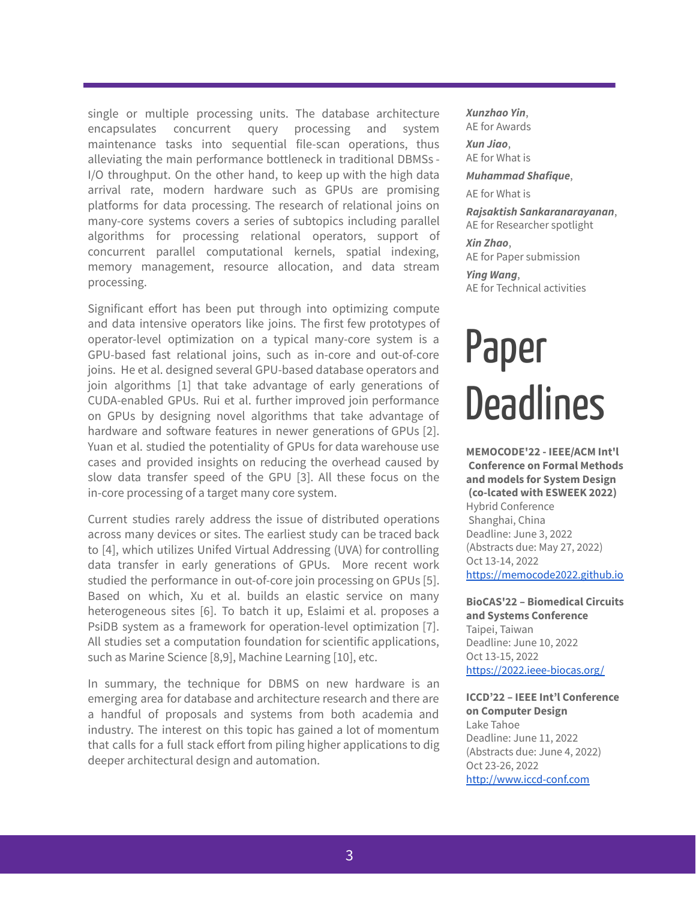single or multiple processing units. The database architecture encapsulates concurrent query processing and system maintenance tasks into sequential file-scan operations, thus alleviating the main performance bottleneck in traditional DBMSs - I/O throughput. On the other hand, to keep up with the high data arrival rate, modern hardware such as GPUs are promising platforms for data processing. The research of relational joins on many-core systems covers a series of subtopics including parallel algorithms for processing relational operators, support of concurrent parallel computational kernels, spatial indexing, memory management, resource allocation, and data stream processing.

Significant effort has been put through into optimizing compute and data intensive operators like joins. The first few prototypes of operator-level optimization on a typical many-core system is a GPU-based fast relational joins, such as in-core and out-of-core joins. He et al. designed several GPU-based database operators and join algorithms [1] that take advantage of early generations of CUDA-enabled GPUs. Rui et al. further improved join performance on GPUs by designing novel algorithms that take advantage of hardware and software features in newer generations of GPUs [2]. Yuan et al. studied the potentiality of GPUs for data warehouse use cases and provided insights on reducing the overhead caused by slow data transfer speed of the GPU [3]. All these focus on the in-core processing of a target many core system.

Current studies rarely address the issue of distributed operations across many devices or sites. The earliest study can be traced back to [4], which utilizes Unifed Virtual Addressing (UVA) for controlling data transfer in early generations of GPUs. More recent work studied the performance in out-of-core join processing on GPUs [5]. Based on which, Xu et al. builds an elastic service on many heterogeneous sites [6]. To batch it up, Eslaimi et al. proposes a PsiDB system as a framework for operation-level optimization [7]. All studies set a computation foundation for scientific applications, such as Marine Science [8,9], Machine Learning [10], etc.

In summary, the technique for DBMS on new hardware is an emerging area for database and architecture research and there are a handful of proposals and systems from both academia and industry. The interest on this topic has gained a lot of momentum that calls for a full stack effort from piling higher applications to dig deeper architectural design and automation.

*Xunzhao Yin*, AE for Awards

*Xun Jiao*, AE for What is

*Muhammad Shafique*,

AE for What is

*Rajsaktish Sankaranarayanan*, AE for Researcher spotlight

*Xin Zhao*, AE for Paper submission

*Ying Wang*, AE for Technical activities

## Paper **Deadlines**

**MEMOCODE'22 - IEEE/ACM Int'l Conference on Formal Methods and models for System Design (co-lcated with ESWEEK 2022)** Hybrid Conference Shanghai, China Deadline: June 3, 2022 (Abstracts due: May 27, 2022) Oct 13-14, 2022 <https://memocode2022.github.io>

**BioCAS'22 – Biomedical Circuits and Systems Conference** Taipei, Taiwan Deadline: June 10, 2022 Oct 13-15, 2022 <https://2022.ieee-biocas.org/>

**ICCD'22 – IEEE Int'l Conference on Computer Design** Lake Tahoe Deadline: June 11, 2022 (Abstracts due: June 4, 2022) Oct 23-26, 2022 <http://www.iccd-conf.com>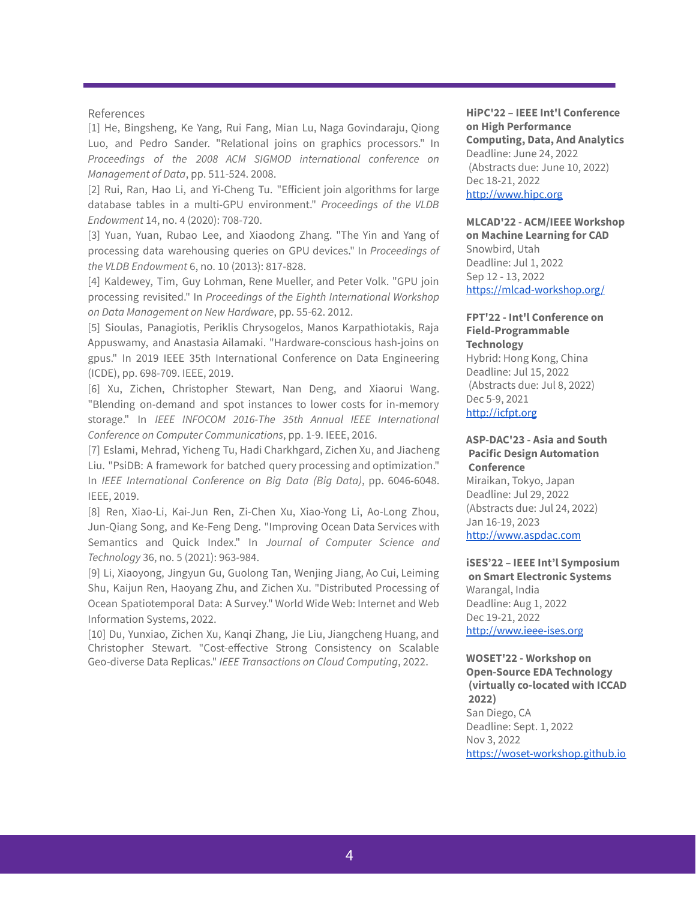#### References

[1] He, Bingsheng, Ke Yang, Rui Fang, Mian Lu, Naga Govindaraju, Qiong Luo, and Pedro Sander. "Relational joins on graphics processors." In *Proceedings of the 2008 ACM SIGMOD international conference on Management of Data*, pp. 511-524. 2008.

[2] Rui, Ran, Hao Li, and Yi-Cheng Tu. "Efficient join algorithms for large database tables in a multi-GPU environment." *Proceedings of the VLDB Endowment* 14, no. 4 (2020): 708-720.

[3] Yuan, Yuan, Rubao Lee, and Xiaodong Zhang. "The Yin and Yang of processing data warehousing queries on GPU devices." In *Proceedings of the VLDB Endowment* 6, no. 10 (2013): 817-828.

[4] Kaldewey, Tim, Guy Lohman, Rene Mueller, and Peter Volk. "GPU join processing revisited." In *Proceedings of the Eighth International Workshop on Data Management on New Hardware*, pp. 55-62. 2012.

[5] Sioulas, Panagiotis, Periklis Chrysogelos, Manos Karpathiotakis, Raja Appuswamy, and Anastasia Ailamaki. "Hardware-conscious hash-joins on gpus." In 2019 IEEE 35th International Conference on Data Engineering (ICDE), pp. 698-709. IEEE, 2019.

[6] Xu, Zichen, Christopher Stewart, Nan Deng, and Xiaorui Wang. "Blending on-demand and spot instances to lower costs for in-memory storage." In *IEEE INFOCOM 2016-The 35th Annual IEEE International Conference on Computer Communications*, pp. 1-9. IEEE, 2016.

[7] Eslami, Mehrad, Yicheng Tu, Hadi Charkhgard, Zichen Xu, and Jiacheng Liu. "PsiDB: A framework for batched query processing and optimization." In *IEEE International Conference on Big Data (Big Data)*, pp. 6046-6048. IEEE, 2019.

[8] Ren, Xiao-Li, Kai-Jun Ren, Zi-Chen Xu, Xiao-Yong Li, Ao-Long Zhou, Jun-Qiang Song, and Ke-Feng Deng. "Improving Ocean Data Services with Semantics and Quick Index." In *Journal of Computer Science and Technology* 36, no. 5 (2021): 963-984.

[9] Li, Xiaoyong, Jingyun Gu, Guolong Tan, Wenjing Jiang, Ao Cui, Leiming Shu, Kaijun Ren, Haoyang Zhu, and Zichen Xu. "Distributed Processing of Ocean Spatiotemporal Data: A Survey." World Wide Web: Internet and Web Information Systems, 2022.

[10] Du, Yunxiao, Zichen Xu, Kanqi Zhang, Jie Liu, Jiangcheng Huang, and Christopher Stewart. "Cost-effective Strong Consistency on Scalable Geo-diverse Data Replicas." *IEEE Transactions on Cloud Computing*, 2022.

**HiPC'22 – IEEE Int'l Conference on High Performance Computing, Data, And Analytics** Deadline: June 24, 2022 (Abstracts due: June 10, 2022) Dec 18-21, 2022 <http://www.hipc.org>

**MLCAD'22 - ACM/IEEE Workshop on Machine Learning for CAD** Snowbird, Utah Deadline: Jul 1, 2022 Sep 12 - 13, 2022 <https://mlcad-workshop.org/>

#### **FPT'22 - Int'l Conference on Field-Programmable Technology**

Hybrid: Hong Kong, China Deadline: Jul 15, 2022 (Abstracts due: Jul 8, 2022) Dec 5-9, 2021 <http://icfpt.org>

#### **ASP-DAC'23 - Asia and South Pacific Design Automation Conference**

Miraikan, Tokyo, Japan Deadline: Jul 29, 2022 (Abstracts due: Jul 24, 2022) Jan 16-19, 2023 <http://www.aspdac.com>

**iSES'22 – IEEE Int'l Symposium on Smart Electronic Systems** Warangal, India Deadline: Aug 1, 2022 Dec 19-21, 2022 <http://www.ieee-ises.org>

**WOSET'22 - Workshop on Open-Source EDA Technology (virtually co-located with ICCAD 2022)** San Diego, CA Deadline: Sept. 1, 2022 Nov 3, 2022 <https://woset-workshop.github.io>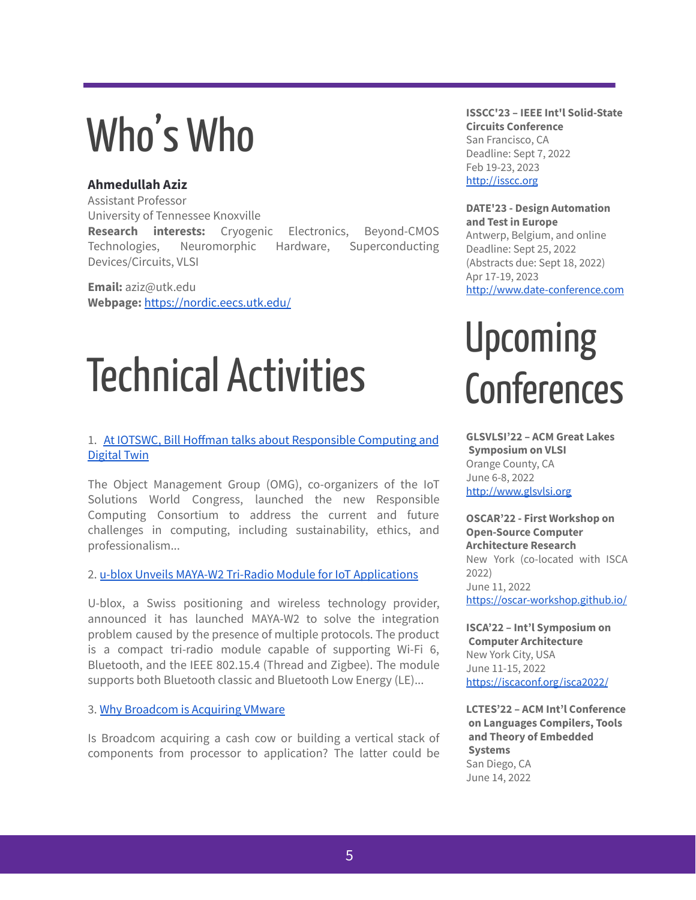## Who'sWho

### **Ahmedullah Aziz**

Assistant Professor University of Tennessee Knoxville **Research interests:** Cryogenic Electronics, Beyond-CMOS Technologies, Neuromorphic Hardware, Superconducting Devices/Circuits, VLSI

**Email:** aziz@utk.edu **Webpage:** <https://nordic.eecs.utk.edu/>

## Technical Activities

### 1. At IOTSWC, Bill Hoffman talks about [Responsible](https://iot.eetimes.com/at-iotswc-bill-hoffman-talks-about-responsible-computing-and-digital-twin/) Computing and [Digital](https://iot.eetimes.com/at-iotswc-bill-hoffman-talks-about-responsible-computing-and-digital-twin/) Twin

The Object Management Group (OMG), co-organizers of the IoT Solutions World Congress, launched the new Responsible Computing Consortium to address the current and future challenges in computing, including sustainability, ethics, and professionalism...

### 2. u-blox Unveils MAYA-W2 Tri-Radio Module for IoT [Applications](https://www.eetimes.eu/u-blox-unveils-maya-w2-tri-radio-module-for-iot-applications/)

U-blox, a Swiss positioning and wireless technology provider, announced it has launched MAYA-W2 to solve the integration problem caused by the presence of multiple protocols. The product is a compact tri-radio module capable of supporting Wi-Fi 6, Bluetooth, and the IEEE 802.15.4 (Thread and Zigbee). The module supports both Bluetooth classic and Bluetooth Low Energy (LE)...

### 3. Why [Broadcom](https://www.eetasia.com/why-broadcom-is-acquiring-vmware/) is Acquiring VMware

Is Broadcom acquiring a cash cow or building a vertical stack of components from processor to application? The latter could be

**ISSCC'23 – IEEE Int'l Solid-State Circuits Conference** San Francisco, CA Deadline: Sept 7, 2022 Feb 19-23, 2023 <http://isscc.org>

#### **DATE'23 - Design Automation and Test in Europe**

Antwerp, Belgium, and online Deadline: Sept 25, 2022 (Abstracts due: Sept 18, 2022) Apr 17-19, 2023 <http://www.date-conference.com>

## Upcoming **Conferences**

**GLSVLSI'22 – ACM Great Lakes Symposium on VLSI** Orange County, CA June 6-8, 2022 <http://www.glsvlsi.org>

**OSCAR'22 - First Workshop on Open-Source Computer Architecture Research** New York (co-located with ISCA 2022) June 11, 2022 <https://oscar-workshop.github.io/>

**ISCA'22 – Int'l Symposium on Computer Architecture** New York City, USA June 11-15, 2022 <https://iscaconf.org/isca2022/>

**LCTES'22 – ACM Int'l Conference on Languages Compilers, Tools and Theory of Embedded Systems** San Diego, CA June 14, 2022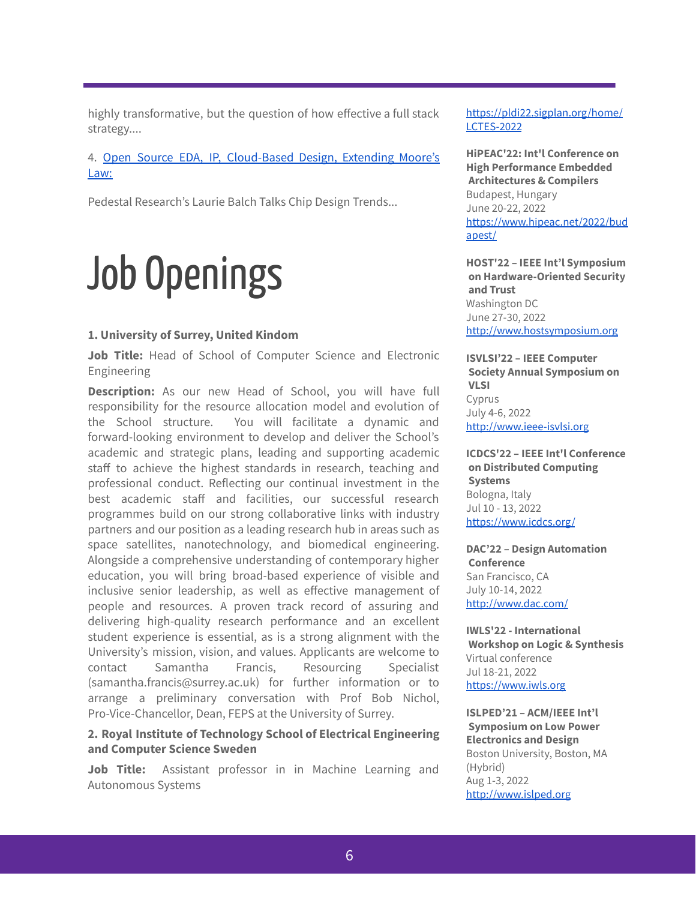highly transformative, but the question of how effective a full stack strategy....

4. Open Source EDA, IP, [Cloud-Based](https://www10.edacafe.com/blogs/edacconsortium/2022/06/02/open-source-eda-ip-cloud-based-design-extending-moores-law-pedestal-researchs-laurie-balch-talks-chip-design-trends/) Design, Extending Moore's [Law:](https://www10.edacafe.com/blogs/edacconsortium/2022/06/02/open-source-eda-ip-cloud-based-design-extending-moores-law-pedestal-researchs-laurie-balch-talks-chip-design-trends/)

Pedestal Research's Laurie Balch Talks Chip Design Trends...

## Job Openings

#### **1. University of Surrey, United Kindom**

**Job Title:** Head of School of Computer Science and Electronic Engineering

**Description:** As our new Head of School, you will have full responsibility for the resource allocation model and evolution of the School structure. You will facilitate a dynamic and forward-looking environment to develop and deliver the School's academic and strategic plans, leading and supporting academic staff to achieve the highest standards in research, teaching and professional conduct. Reflecting our continual investment in the best academic staff and facilities, our successful research programmes build on our strong collaborative links with industry partners and our position as a leading research hub in areas such as space satellites, nanotechnology, and biomedical engineering. Alongside a comprehensive understanding of contemporary higher education, you will bring broad-based experience of visible and inclusive senior leadership, as well as effective management of people and resources. A proven track record of assuring and delivering high-quality research performance and an excellent student experience is essential, as is a strong alignment with the University's mission, vision, and values. Applicants are welcome to contact Samantha Francis, Resourcing Specialist (samantha.francis@surrey.ac.uk) for further information or to arrange a preliminary conversation with Prof Bob Nichol, Pro-Vice-Chancellor, Dean, FEPS at the University of Surrey.

### **2. Royal Institute of Technology School of Electrical Engineering and Computer Science Sweden**

**Job Title:** Assistant professor in in Machine Learning and Autonomous Systems

[https://pldi22.sigplan.org/home/](https://pldi22.sigplan.org/home/LCTES-2022) [LCTES-2022](https://pldi22.sigplan.org/home/LCTES-2022)

**HiPEAC'22: Int'l Conference on High Performance Embedded Architectures & Compilers** Budapest, Hungary June 20-22, 2022 [https://www.hipeac.net/2022/bud](https://www.hipeac.net/2022/budapest/) [apest/](https://www.hipeac.net/2022/budapest/)

**HOST'22 – IEEE Int'l Symposium on Hardware-Oriented Security and Trust** Washington DC June 27-30, 2022 <http://www.hostsymposium.org>

**ISVLSI'22 – IEEE Computer Society Annual Symposium on VLSI** Cyprus July 4-6, 2022 <http://www.ieee-isvlsi.org>

**ICDCS'22 – IEEE Int'l Conference on Distributed Computing Systems** Bologna, Italy Jul 10 - 13, 2022 <https://www.icdcs.org/>

**DAC'22 – Design Automation Conference** San Francisco, CA July 10-14, 2022 <http://www.dac.com/>

**IWLS'22 - International Workshop on Logic & Synthesis** Virtual conference Jul 18-21, 2022 <https://www.iwls.org>

**ISLPED'21 – ACM/IEEE Int'l Symposium on Low Power Electronics and Design** Boston University, Boston, MA (Hybrid) Aug 1-3, 2022 <http://www.islped.org>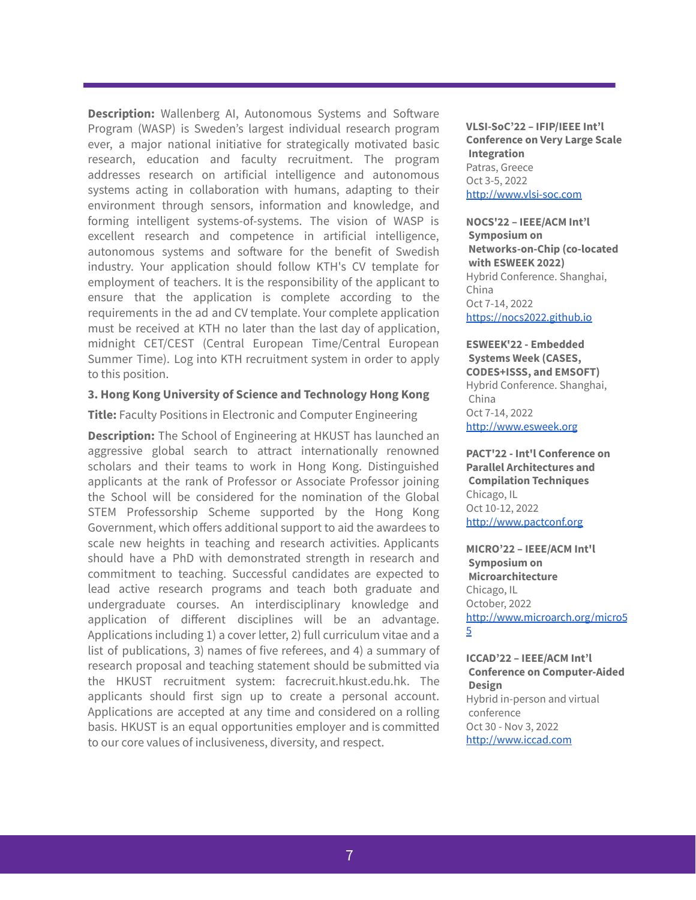**Description:** Wallenberg AI, Autonomous Systems and Software Program (WASP) is Sweden's largest individual research program ever, a major national initiative for strategically motivated basic research, education and faculty recruitment. The program addresses research on artificial intelligence and autonomous systems acting in collaboration with humans, adapting to their environment through sensors, information and knowledge, and forming intelligent systems-of-systems. The vision of WASP is excellent research and competence in artificial intelligence, autonomous systems and software for the benefit of Swedish industry. Your application should follow KTH's CV template for employment of teachers. It is the responsibility of the applicant to ensure that the application is complete according to the requirements in the ad and CV template. Your complete application must be received at KTH no later than the last day of application, midnight CET/CEST (Central European Time/Central European Summer Time). Log into KTH recruitment system in order to apply to this position.

#### **3. Hong Kong University of Science and Technology Hong Kong**

**Title:** Faculty Positions in Electronic and Computer Engineering

**Description:** The School of Engineering at HKUST has launched an aggressive global search to attract internationally renowned scholars and their teams to work in Hong Kong. Distinguished applicants at the rank of Professor or Associate Professor joining the School will be considered for the nomination of the Global STEM Professorship Scheme supported by the Hong Kong Government, which offers additional support to aid the awardees to scale new heights in teaching and research activities. Applicants should have a PhD with demonstrated strength in research and commitment to teaching. Successful candidates are expected to lead active research programs and teach both graduate and undergraduate courses. An interdisciplinary knowledge and application of different disciplines will be an advantage. Applications including 1) a cover letter, 2) full curriculum vitae and a list of publications, 3) names of five referees, and 4) a summary of research proposal and teaching statement should be submitted via the HKUST recruitment system: facrecruit.hkust.edu.hk. The applicants should first sign up to create a personal account. Applications are accepted at any time and considered on a rolling basis. HKUST is an equal opportunities employer and is committed to our core values of inclusiveness, diversity, and respect.

**VLSI-SoC'22 – IFIP/IEEE Int'l Conference on Very Large Scale Integration** Patras, Greece Oct 3-5, 2022 <http://www.vlsi-soc.com>

**NOCS'22 – IEEE/ACM Int'l Symposium on Networks-on-Chip (co-located with ESWEEK 2022)** Hybrid Conference. Shanghai, China Oct 7-14, 2022 <https://nocs2022.github.io>

**ESWEEK'22 - Embedded Systems Week (CASES, CODES+ISSS, and EMSOFT)** Hybrid Conference. Shanghai, China Oct 7-14, 2022 <http://www.esweek.org>

**PACT'22 - Int'l Conference on Parallel Architectures and Compilation Techniques** Chicago, IL Oct 10-12, 2022 <http://www.pactconf.org>

**MICRO'22 – IEEE/ACM Int'l Symposium on Microarchitecture** Chicago, IL October, 2022 [http://www.microarch.org/micro5](http://www.microarch.org/micro55) [5](http://www.microarch.org/micro55)

**ICCAD'22 – IEEE/ACM Int'l Conference on Computer-Aided Design** Hybrid in-person and virtual conference Oct 30 - Nov 3, 2022 <http://www.iccad.com>